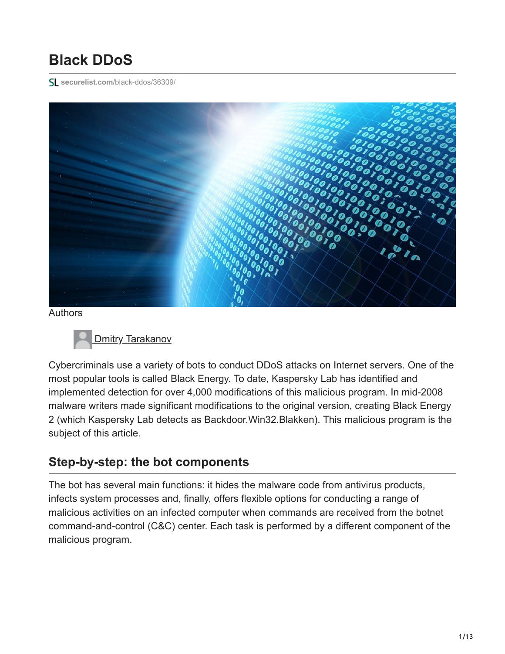# **Black DDoS**

**securelist.com**[/black-ddos/36309/](https://securelist.com/black-ddos/36309/)



Authors



Cybercriminals use a variety of bots to conduct DDoS attacks on Internet servers. One of the most popular tools is called Black Energy. To date, Kaspersky Lab has identified and implemented detection for over 4,000 modifications of this malicious program. In mid-2008 malware writers made significant modifications to the original version, creating Black Energy 2 (which Kaspersky Lab detects as Backdoor.Win32.Blakken). This malicious program is the subject of this article.

# **Step-by-step: the bot components**

The bot has several main functions: it hides the malware code from antivirus products, infects system processes and, finally, offers flexible options for conducting a range of malicious activities on an infected computer when commands are received from the botnet command-and-control (C&C) center. Each task is performed by a different component of the malicious program.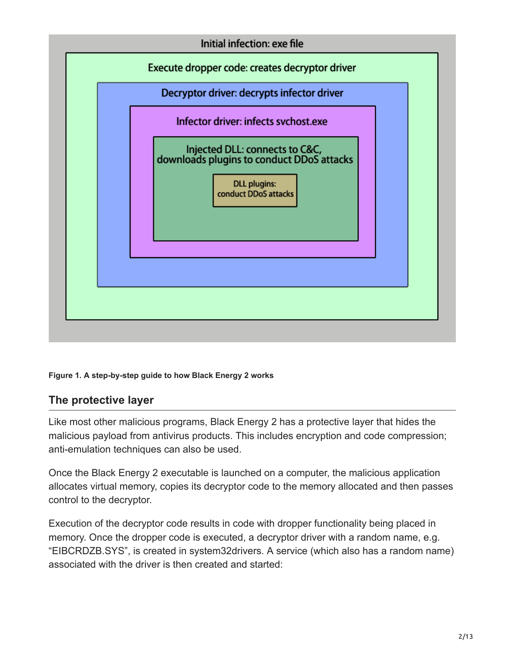

### **Figure 1. A step-by-step guide to how Black Energy 2 works**

### **The protective layer**

Like most other malicious programs, Black Energy 2 has a protective layer that hides the malicious payload from antivirus products. This includes encryption and code compression; anti-emulation techniques can also be used.

Once the Black Energy 2 executable is launched on a computer, the malicious application allocates virtual memory, copies its decryptor code to the memory allocated and then passes control to the decryptor.

Execution of the decryptor code results in code with dropper functionality being placed in memory. Once the dropper code is executed, a decryptor driver with a random name, e.g. "EIBCRDZB.SYS", is created in system32drivers. A service (which also has a random name) associated with the driver is then created and started: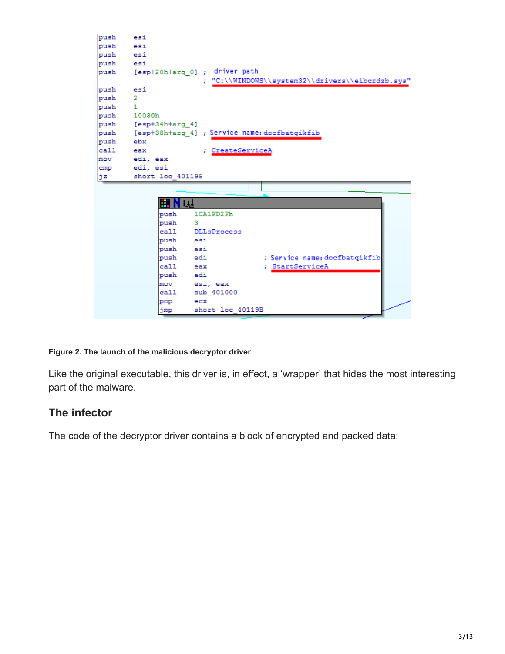```
push
        esi
push
        esi
push
        esi
push
        esi
        [esp+20h+arg_0] ; driver path
push
                           "C:\\WINDOWS\\system32\\drivers\\eibcrdzb.sys"
                         ž.
push
        esi
push
        \overline{2}push
        \mathbf 1push
        10030h
push
        [esp+34h+arg 4]
push [esp+38h+arg_4] ; Service name: docfbatqikfib
push
        ebx
call
        eax
                         ; CreateServiceA
mov
        edi, eax
cmp
        edi, esi
jz
        short loc 401195
              IEI N W
              push
                       1CA1FD2Fh
              push
                       \mathbf{3}ca11DLLsProcess
              push
                       esi
              push
                       esi
              push
                                        ; Service name: docfbatqikfib
                       edi
               call
                       eax
                                        ; StartServiceA
              push
                       edi
                       esi, eax
              mov
               call
                       sub 401000
                       ecxpop
              jmp
                       short loc_40119B
```
### **Figure 2. The launch of the malicious decryptor driver**

Like the original executable, this driver is, in effect, a 'wrapper' that hides the most interesting part of the malware.

### **The infector**

The code of the decryptor driver contains a block of encrypted and packed data: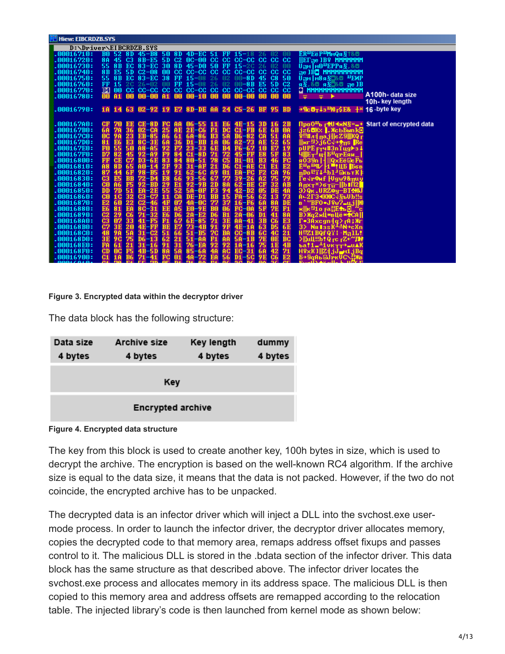| <b>H</b> Hiew: EIBCRDZB.SYS |                                                |                                                           |                                                  |                                                                       |
|-----------------------------|------------------------------------------------|-----------------------------------------------------------|--------------------------------------------------|-----------------------------------------------------------------------|
|                             | D:\Driver\EIBCRDZB.SYS                         |                                                           |                                                  |                                                                       |
| 1.00016710:                 |                                                | B0 52 8D 45-B8 50 8D 4D-EC 51 FF 15-18 26                 | UZ 00                                            | £R″EëP™mQя§†&®                                                        |
| .00016720:                  |                                                | 8A 45 C3 8B-E5 5D C2 0C-00 CC CC CC-CC CC CC CC           |                                                  | <b>IEFae IB9 MMMMMMM</b>                                              |
| .00016730:                  |                                                | 55 8B EC 83-EC 30 8D 45-D0 50 FF 15-20                    | 02 <sub>00</sub><br>-26                          | Uпм   м0 <sup>ш</sup> ЕРРя§, &⊜                                       |
| .00016740:                  | 8B<br>E5 5D C2-08                              | $00 \text{ }$ CC $\text{ }$ CC $-$ CC $\text{ }$          | ce ce ce-ce ce ce ce                             | The JBO MMMMMMMMM                                                     |
| .00016750:                  | 8B EC 83-EC<br>55.                             | -38<br><b>FF</b><br>02 <sub>1</sub><br>$15 - m8$          | <b>C8 50</b><br>$m - R$ D<br>45                  | $U_{\overline{1}I}$ м $B_A\overline{S}$ -&0 $U_{\overline{1}I}$       |
| .00016760:                  | FF 15 2C 26-02                                 | 00<br>$FF 15 - 08$<br>26                                  | $02 \t00 - 8B \tE5$<br>5D C <sub>2</sub>         | 95.80995807e1B                                                        |
| .00016770:                  |                                                |                                                           |                                                  | и минимининин С                                                       |
| .00016780:                  | 00<br>00-00 A1<br>A1<br>00                     | 00<br>00-10 00                                            | 00 00-00 00<br>00<br>00                          | A100h- data size<br>÷<br>÷ ⊁                                          |
|                             |                                                |                                                           |                                                  | 10h-key length                                                        |
| .00016790:                  |                                                | 1A 14 63 02-92 19 E7 8D-DE AA 24 C5-26 BF 95 BD           |                                                  | →¶c B <sub>T</sub> ↓s <sup>u</sup> l0 r\$E& +¤ 16 -byte key           |
|                             |                                                |                                                           |                                                  |                                                                       |
| .00016700:                  | $CE-8D$<br>EE<br>CF                            | $06 - 55$<br>E6                                           | 2B<br>$4E-15$                                    | ПроО <sup>ш</sup> ь г <del>Ф</del> U ◀жN§=" + Start of encrypted data |
| .000167B0:                  | 6A                                             | $2E-C6$<br>DC.<br>ĤЕ                                      | 0A<br>-FB                                        | .jz6BK%  .ЖcЬБыnk <mark>0</mark>                                      |
| .000167C0:                  | mc.<br><b>EB-85</b>                            | <b>B3</b><br>6A-86<br>5A<br>-A6                           | <b>CA</b><br><b>AA</b><br>$B6 - 82$              | ♀!!#л╡пај∥еZ9@КQг                                                     |
| .000167D0:                  | 81<br>$8C-3E$                                  | D1<br>$-{\bf BB}$<br>10                                   | 65                                               |                                                                       |
| .000167E0:                  | F0<br>55<br>50<br>$A8 - A5$                    | $23 - 33$<br>6E<br><b>B4</b>                              | 19<br>$F6 - 67$<br>1 M<br>E7                     | pUPE <del>pr</del> y#3nTug⊨s∔                                         |
| .000167F0:                  | D7                                             | $C1 - RD$<br>72                                           | 83<br>E8<br><b>5F</b><br>-FF                     | -l额=т щ Б <sup>п</sup> атЕяи.                                         |
| .00016800:                  | FF                                             | -51<br>C5                                                 | $_{\rm FC}$<br>$R1 - 01$<br>B <sub>3</sub><br>46 | я039n H@QxEё@еFь                                                      |
| .00016810:                  | 86                                             | $31 - AP$<br>21<br>D6                                     | E1<br>E2<br>$C1 - A E$<br>-01                    | £ <sup>и</sup> е <sup>ц</sup> ¶∕ ⊦1 =!ЦБ  Ббв                         |
| .00016820:                  | 87<br>B5.                                      | 01<br>$62 - 60$<br><b>A9</b><br>91                        | 96<br>EA-<br>F2<br><b>CA</b><br>-FC.             | пDo╙ï↓⊥bl┚©кьтК╞                                                      |
| .00016830:                  | C3<br>E5<br><b>BB</b><br>D4                    | 22.<br>$93 - 56$<br>-67<br>E8<br>66                       | 79<br>$39 - 26$<br>A2<br>75                      | ie√r®nf  Ugw9&πuy                                                     |
| .00016840:                  | C0<br>A6<br>BD                                 | 29<br>$92 - 9B$<br>2D<br>-E1<br><b>8A</b>                 | $A$ $B$<br>$62 - BE$<br><b>CF</b><br>32          | $A_{\Pi}$ x $\tau$ x)6 $\tau$ $\overline{\tau}$ -   b $\Pi$ 2         |
| .00016850:                  | DD<br><b>7D</b><br>EA-<br>-2 E<br>51           | 52<br>$5A-0F$<br>94<br>55<br>F <sub>3</sub>               | $42 - D2$<br>4A<br>05<br>DE                      | Э>Qк.URZ≉y—BT <del>2Ю</del> J                                         |
| .00016860:                  | C0<br>-07<br>32<br>C3.<br>1 G                  | <b>CA</b><br>$DE-D1$<br>15<br><b>BB</b><br>11.            | 73<br>-62<br>13<br>$FA-56$                       | A-2F34KHOCJ&bUb!!s                                                    |
| .00016870:                  | E2<br>60<br>22<br>$C2-$<br>-46                 | -0C<br>4F<br>$4A -$<br>77<br>$3716-$<br><b>M7</b>         | DE<br>-F6<br>-6A<br>8A                           | $B$ $'$ "BFO $\bullet$ J $9w$ 7 $\text{m},$ ill $0$                   |
| .00016880:                  | E6<br>$8C-$<br>-31                             | $E0-9E$<br>EE<br><b>BO</b><br><b>M6</b><br><b>A5</b>      | F1<br>$FC-0A$<br><b>7E</b><br>-5 F               | <b>ж∰к<sup>л</sup>10 ғদűь 0_^°с</b>                                   |
| .00016890:                  | C2<br>C6<br>$71 - 32$                          | E6.<br>$2A-E2$<br>D6<br>B1<br>D6                          | $2A-06$<br>8A<br>D <sub>1</sub><br>41            | B) Xa2 xll *sllë * <b>*</b> CAl                                       |
| .00016800:                  | C3<br>P5<br>33<br>41                           | 67<br>$6E - 85$<br>71<br>3E<br>F1.                        | E <sub>3</sub><br>3B<br>C6<br>$AA-41$            | $\Gamma$ =3Axcgn= $\alpha$ ) $\tau$ A;Ж $\tau$                        |
| .000168B0:                  | C7<br>$4E-$<br>FF<br>3E<br>20                  | <b>RE</b><br>E7<br>$73 - 4B$<br>9F<br>91                  | <b>6E</b><br>$4E-1A$<br>-63<br>D <sub>5</sub>    | 3> Ng ∎as K <sup>⊥≟</sup> N→cXn                                       |
| .000168C0:                  | 48<br>$31 - C2$<br>9A<br><b>5A</b>             | -66<br>$51 - B5$<br><b>70</b><br><b>BA</b><br>51          | $CC-8B$ 6C<br>21<br>$-4C$                        | H4Z1BQfQY  M71L!                                                      |
| .000168D0:                  | $D6 - 13$<br>3E<br>75<br>9C.                   | -62<br>$51 - A$<br>21<br><b>F1</b><br>ĤĤ                  | <b>BC</b><br><b>7E</b><br>$5A-1B$<br>0E          | $\lambda$   $\lambda$ ll!!b! Q rc rZ+" <b>FN</b>                      |
| .000168E0:                  | FA<br>$31 - 16$<br>-61<br>21                   | $76 - EA$<br>92<br>91<br>92.<br>-31                       | 4B<br>75<br>$10-16$<br>1E                        | $b$ a!1= <sup>1</sup> 10K $\overrightarrow{1}$ =uAK                   |
| .000168F0:                  | CD<br><b>F5</b><br>0 <sup>C</sup><br>4R        | $85 -$<br>-6A<br>AC.<br><b>48</b>                         | 71<br>-31<br>EG-<br>42<br>-68                    | $H2xK1  Z1.1J$ and $I3R\alpha$                                        |
| .00016900:<br>mmma cham.    | C1.<br><b>B6</b><br>18.<br>nal.<br>mo.<br>T24. | -72<br><b>FG</b><br><b>EA</b><br>56<br><b>48</b><br>T34 L | E <sub>2</sub><br>-50.<br>C6<br>D1               | E-SqAL@JrkUC\}}%                                                      |

### **Figure 3. Encrypted data within the decryptor driver**

The data block has the following structure:

| Data size | <b>Archive size</b>      | Key length | dummy   |
|-----------|--------------------------|------------|---------|
| 4 bytes   | 4 bytes                  | 4 bytes    | 4 bytes |
|           | Key                      |            |         |
|           | <b>Encrypted archive</b> |            |         |



The key from this block is used to create another key, 100h bytes in size, which is used to decrypt the archive. The encryption is based on the well-known RC4 algorithm. If the archive size is equal to the data size, it means that the data is not packed. However, if the two do not coincide, the encrypted archive has to be unpacked.

The decrypted data is an infector driver which will inject a DLL into the svchost.exe usermode process. In order to launch the infector driver, the decryptor driver allocates memory, copies the decrypted code to that memory area, remaps address offset fixups and passes control to it. The malicious DLL is stored in the .bdata section of the infector driver. This data block has the same structure as that described above. The infector driver locates the svchost.exe process and allocates memory in its address space. The malicious DLL is then copied to this memory area and address offsets are remapped according to the relocation table. The injected library's code is then launched from kernel mode as shown below: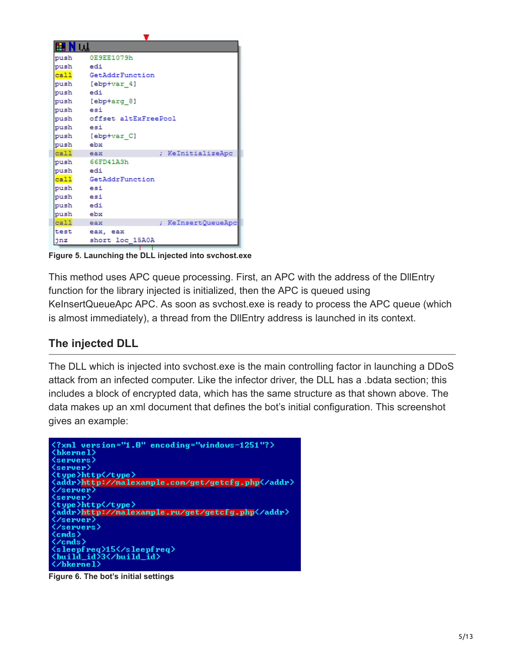| IN u∐    |                           |
|----------|---------------------------|
|          | push 0E9EE1079h           |
| push edi |                           |
|          | call GetAddrFunction      |
|          | push [ebp+var 4]          |
| push edi |                           |
|          | push [ebp+arg 8]          |
| push esi |                           |
|          | push offset altExFreePool |
| push esi |                           |
|          | push [ebp+var C]          |
| push ebx |                           |
| call eax | ; KeInitializeApc         |
|          | push 66FD41A3h            |
| push edi |                           |
|          | call GetAddrFunction      |
| push esi |                           |
| push esi |                           |
| push edi |                           |
| push ebx |                           |
| call eax | ; KeInsertQueueApc        |
|          | test eax, eax             |
| jnz      | short loc 15A0A           |

**Figure 5. Launching the DLL injected into svchost.exe**

This method uses APC queue processing. First, an APC with the address of the DllEntry function for the library injected is initialized, then the APC is queued using KeInsertQueueApc APC. As soon as svchost.exe is ready to process the APC queue (which is almost immediately), a thread from the DllEntry address is launched in its context.

### **The injected DLL**

The DLL which is injected into svchost.exe is the main controlling factor in launching a DDoS attack from an infected computer. Like the infector driver, the DLL has a .bdata section; this includes a block of encrypted data, which has the same structure as that shown above. The data makes up an xml document that defines the bot's initial configuration. This screenshot gives an example:

```
<?xml version="1.0" encoding="windows-1251"?>
\langlebkernel\rangle<servers>
 server)
  :ype>http</type>
 addr>http://malexample.com/get/getcfg.php</addr>
  server>
 server)
   /pe>http</type
 addr>http://malexample.ru/get/getcfg.php</addr>
 /server)
  /servers>
(cmds>
 \gammacmds\geq\\cmas<br>\sleepfreq>15</sleepfreq><br>\build_id>3</build_id
\langle \mathord{\hspace{1pt}\textit{\hspace{1pt}\mathit{\wedge}}}bkerne1\rangle
```
**Figure 6. The bot's initial settings**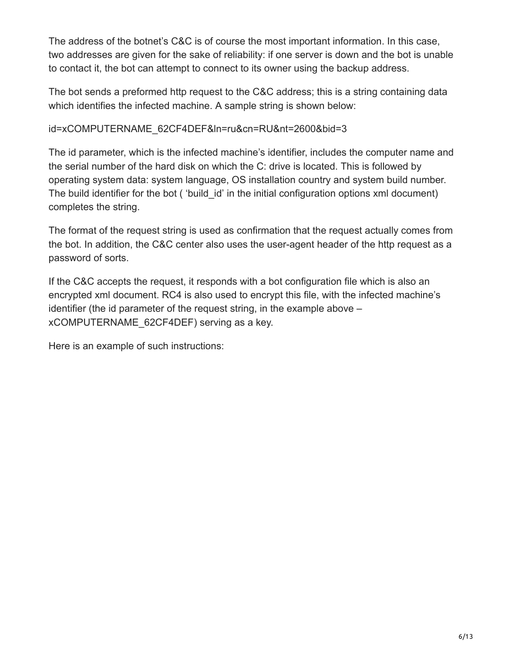The address of the botnet's C&C is of course the most important information. In this case, two addresses are given for the sake of reliability: if one server is down and the bot is unable to contact it, the bot can attempt to connect to its owner using the backup address.

The bot sends a preformed http request to the C&C address; this is a string containing data which identifies the infected machine. A sample string is shown below:

### id=xCOMPUTERNAME\_62CF4DEF&ln=ru&cn=RU&nt=2600&bid=3

The id parameter, which is the infected machine's identifier, includes the computer name and the serial number of the hard disk on which the C: drive is located. This is followed by operating system data: system language, OS installation country and system build number. The build identifier for the bot ( 'build id' in the initial configuration options xml document) completes the string.

The format of the request string is used as confirmation that the request actually comes from the bot. In addition, the C&C center also uses the user-agent header of the http request as a password of sorts.

If the C&C accepts the request, it responds with a bot configuration file which is also an encrypted xml document. RC4 is also used to encrypt this file, with the infected machine's identifier (the id parameter of the request string, in the example above – xCOMPUTERNAME\_62CF4DEF) serving as a key.

Here is an example of such instructions: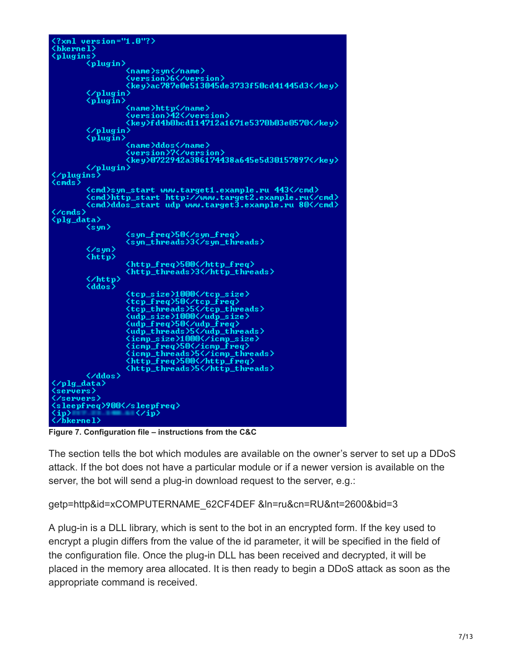```
<?xml version="1.0"?>
\langlebkerne1<plugins>
              <plugin>
                              <name>syn</name><br><version>6</version><br><key>ac787e0e513045de3733f50cd41445d3</key>
              <∕plugin〉<br><plugin〉
                               <name>http<mark></name></mark><br><version<mark>>42</mark></version>
                               <key>fd4b0bcd114712a1671e5370b03e0570</key>
              </plugin><br><plugin>
                              <name>ddos</name><br><version>7</version><br><key>0722942a386174438a645e5d30157897</key>
)<br></plugin><br></plugins><br><cmds>
<cmds>
               <cmd>syn_start_www.target1.example.ru_443</cmd>
              <br/>cond>byn_p_start http://www.target2.example.ru</cmd></arg>/cmd>ddos_start udp www.target3.example.ru</arg</arg>/cmd>
</cmds>
\langleplg_data>
              \langlesyn\rangle<syn_freq>50</syn_freq>
                               <syn_threads>3</syn_threads>
              </syn>
              \langlehttp>
                               <http_freq>500</http_freq><br><http_threads>3</http_threads>
              </http><br><ddos>
                              <tcp_size>1000</tcp_size><br><tcp_freq>50</tcp_freq><br><tcp_freq>50</tcp_freq><br><tcp_threads>5</tcp_threads><br><udp_size>1000</udp_size><br><udp_freq>50</udp_freq><br><udp_freq>50</udp_freq><br><udp_threads><br><icmp_size>1000</icmp_size><br><ic
              </ddos>
</plg_data><br><servers>
</servers>
<sleepfreq>900</sleepfreq>
                               \langle \rangle/\bar{\text{b}}kerne1>
```
**Figure 7. Configuration file – instructions from the C&C**

The section tells the bot which modules are available on the owner's server to set up a DDoS attack. If the bot does not have a particular module or if a newer version is available on the server, the bot will send a plug-in download request to the server, e.g.:

```
getp=http&id=xCOMPUTERNAME_62CF4DEF &ln=ru&cn=RU&nt=2600&bid=3
```
A plug-in is a DLL library, which is sent to the bot in an encrypted form. If the key used to encrypt a plugin differs from the value of the id parameter, it will be specified in the field of the configuration file. Once the plug-in DLL has been received and decrypted, it will be placed in the memory area allocated. It is then ready to begin a DDoS attack as soon as the appropriate command is received.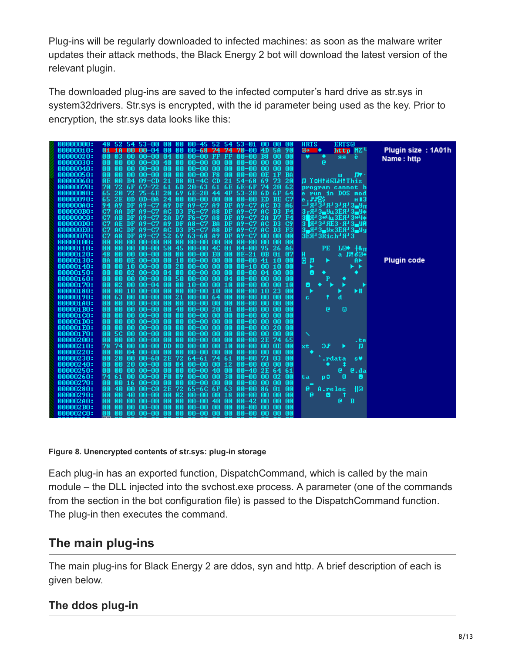Plug-ins will be regularly downloaded to infected machines: as soon as the malware writer updates their attack methods, the Black Energy 2 bot will download the latest version of the relevant plugin.

The downloaded plug-ins are saved to the infected computer's hard drive as str.sys in system32drivers. Str.sys is encrypted, with the id parameter being used as the key. Prior to encryption, the str.sys data looks like this:

| 00000000: |                             |                 |           |                      | 48 52 54 53-00 00 00 00-45 52 54 53-01 |              |                    | 00.            |                | UU             | <b>HRTS</b>           | ERTS©                                                                                               |                    |
|-----------|-----------------------------|-----------------|-----------|----------------------|----------------------------------------|--------------|--------------------|----------------|----------------|----------------|-----------------------|-----------------------------------------------------------------------------------------------------|--------------------|
| 00000010: | -18<br>01.                  | - nn            | MN-04     |                      | 00 00 00-68                            |              | 74 74 70-00        | 4D.            | <b>5A</b>      | 90             | ⊕<br>۰                | http MZL                                                                                            | Plugin size: 1A01h |
| 00000020: | 00.<br>-03                  | 00.             | 00-00     | 04<br>00             | 00-00                                  | FF.<br>-FF   | 00-00              | B8             | 00             | 00             | ٠<br>v                | ë<br>яя                                                                                             | Name: http         |
| 00000030: | mm<br>00                    | 00              | $00 - 00$ | 40<br>00             | 00-00                                  | 00           | 00<br>$00 - 00$    | mm             | mm             | 00             | e                     |                                                                                                     |                    |
| 00000040: | nn.<br>mm                   | 00              | $00 - 00$ | nn.<br>00            | 00-00                                  | 00           | - AA<br>mm-mm      | mm             | mm             | mm             |                       |                                                                                                     |                    |
| 00000050: | 00<br>mo                    | mo              | 00–00     | 00<br>mm             | $00 - 00$                              | F8           | 00<br>00–00        | ΩE             |                | <b>BA</b>      |                       | Пv<br>ш                                                                                             |                    |
| 00000060: | 0E<br>mm                    | <b>B4</b>       | $09 - CD$ | 21<br><b>B8</b>      | $01 - 4C$                              | CD.<br>21    | $54 - 68$          | 69             | 73             | 20             |                       | Л <b>TOH!ё@LH!This</b>                                                                              |                    |
| 00000070: | 72<br>70                    | 6F              | $67 - 72$ | -61<br>6D            | $20 - 63$                              | 61           | 6E 6E-6F           | 74             | 20             | 62             |                       | program cannot b                                                                                    |                    |
| 00000080: | 65<br>20                    | 72              | $75 - 6E$ | 20<br>-69            | $6E-20$                                | 44           | 4F<br>$53 - 20$    | 6D             | 6F             | 64             |                       | e run in DOS mod                                                                                    |                    |
| 00000090: | 65<br>2E                    | 0D.             | $OD-0A$   | 24<br>00             | $00 - 00$                              | 00           | 00<br>00-00        | ED             | <b>BE</b>      | C2             | e.FF6\$               | н 13                                                                                                |                    |
| 000000A0: | 94<br>A <sub>9</sub>        | DF.             | $A9-C7$   | A9<br>DF             | $A9-C7A9$                              |              | DF<br>$A9-C7$      | AC.            | D <sub>3</sub> | A6             |                       | → ਮ ਤੇ ਮ 3 3 ਮ 3 3 ਮ ਪ                                                                              |                    |
| 000000B0: | C7<br>AA                    | DF.             | A9-C7     | AC.<br>D3            | $F6-C7$                                | A8           | DF<br>$A9-C7$      | AC             | D <sub>3</sub> | F4             |                       | $3 - R - 3 - 9$ u $3ER - 3 - 9$                                                                     |                    |
| 00000000: | C2<br>AB                    | DF.             | $A9-C7$   | 2A<br>D <sub>7</sub> | $F6-C2$                                | A8           | DF<br>$A9-C7$      | 2A             | D7             | F4             |                       | 3 R- 3*4u3ER-3*4o                                                                                   |                    |
| 000000D0: | C <sub>2</sub><br>AE        | DF.             | $A9-C7$   | <b>A9</b><br>DF      | $A8-C7$                                | <b>BA</b>    | DF<br>$A9-C7$      | AC.            | D <sub>3</sub> | C9             |                       | $3$ $R$ <sup>1</sup> $3$ <sup>1</sup> $R$ $3$ $\cdot$ $R$ <sup>1</sup> $3$ $\cdot$ $9$ <sup>1</sup> |                    |
| 000000E0: | C2<br>AC.                   | DF.             | $A9-C7$   | AC.<br>D3            | $F5-C7$                                | A8           | $A9-C7$<br>DF      | AC.            | D3             | F <sub>3</sub> |                       | $3 - 4 - 3 - 9 \times 3E$ $A - 3 - 9$                                                               |                    |
| 000000F0: | C <sub>7</sub><br><b>A8</b> | DF.             | $A9-C7$   | -52<br>-69           | $63 - 68$                              |              | A9 DF A9-C7        | mm             | mm             | 00             | $3EH$ $3Rich$ $H$ $3$ |                                                                                                     |                    |
| 00000100: | 00<br>00                    | mo              | $00 - 00$ | 00<br>00             | $00 - 00$                              | 00           | 00<br>$00 - 00$    | mo             | mo             | 00             |                       |                                                                                                     |                    |
| 00000110: | 00<br>00                    | 00              | $00 - 00$ | 50<br>45             | 00-00                                  | 4C 01        | $04 - 00$          | 95             | 26             | A6             | PЕ                    | ե©◆ †&π                                                                                             |                    |
| 00000120: | 48<br>mm                    | 00              | 00-00     | 00<br>00             | 00-00                                  | <b>EQ 00</b> | $0E-21$            | 0 <sub>B</sub> | 01             | 07             | H                     | а Л!б©•                                                                                             |                    |
| 00000130: | <b>OA</b><br>mm             | OE.             | $00 - 00$ | 00<br>10             | 00-00                                  | 00           | 00<br>$00 - 00$    | 41             | 1 M            | mm             | o<br>л                | A►                                                                                                  | <b>Plugin code</b> |
| 00000140: | 00<br>00                    | 10              | $00 - 00$ | 00                   | $2000-00$                              | 00           | -00<br>$00 - 10$   | 00             | -10            | 00             |                       | ►                                                                                                   |                    |
| 00000150: | 00<br>mm                    | 02 <sub>2</sub> | $00 - 00$ | 04<br>00             | 00-00                                  | 00<br>-00    | $00 - 00$          | 04             | mm             | 00             | 8                     | ٠                                                                                                   |                    |
| 00000160: | 00<br>mm                    | 00              | 00-00     | 00<br>50             | 00-00                                  | 00           | 04<br>00-00        | mm             | mm             | mm             | P                     |                                                                                                     |                    |
| 00000170: | $02$<br>00                  | m               | $00 - 04$ | <b>OO</b><br>00      | $10 - 00$                              | 0010         | $00 - 00$          | mm             | 00             | 10             | 8<br>۰                |                                                                                                     |                    |
| 00000180: | 00<br>00                    | 10              | 00-00     | 00<br>00             | 00-00                                  | 10 00        | $00 - 00$          |                | 10 23          | 00             |                       | $+$                                                                                                 |                    |
| 00000190: | 00<br>63                    | 00              | 00-00     | 21<br>00             | $00 - 00$                              | 64           | 00<br>00-00        | mm             | mm             | 00             | c.                    | d                                                                                                   |                    |
| 000001A0: | 00<br>mm                    | mm              | $00 - 00$ | 00<br>00             | $00 - 00$                              | 00           | 00<br>$00-00$      | mm             | mm             | mm             |                       |                                                                                                     |                    |
| 000001B0: | oo<br>00                    | 00              | 00-00     | 00                   | $4000-00$                              | -20<br>- 01  | 00-00              | 00             | 00             | 00             | e                     | Θ                                                                                                   |                    |
| 000001C0: | 00<br>00                    | 00              | $00 - 00$ | 00<br>00             | $00 - 00$                              | 00           | 00<br>$00 - 00$    | 00             | 00             | 00             |                       |                                                                                                     |                    |
| 000001D0: | mm<br>00                    | mm              | $00 - 00$ | 00<br>00             | $00 - 00$                              | 00           | 00<br>NN-NN        | mm             | mm             | 00             |                       |                                                                                                     |                    |
| 000001E0: | 00.<br>00                   | 00              | 00-00     | 00.<br>00            | 00-00                                  | 00           | 00.<br>00-00       | OO.            | 20             | 00             |                       |                                                                                                     |                    |
| 000001F0: | 00<br>5C                    | 00              | $00 - 00$ | 00<br>00             | 00-00                                  | 00           | 00<br>$00 - 00$    | 00             | 00             | 00             |                       |                                                                                                     |                    |
| 00000200: | 00<br>mm                    | 00              | $00 - 00$ | MA.<br>00            | $00 - 00$                              | 00           | 00<br>MN-NN        |                | 2E 74          | 65             |                       | .te                                                                                                 |                    |
| 00000210: | 78<br>-74                   | mm              | $00 - 00$ | MD.<br>DD.           | 00-00                                  | 0010         | 00-00              | mm             | 0E.            | .nn            | 9F<br>xt              | л                                                                                                   |                    |
| 00000220: | 00<br>00                    | 04              | 00-00     | 00<br>00             | $00 - 00$                              | 00           | <b>OO</b><br>00-00 | 00             | 00             | 00             |                       |                                                                                                     |                    |
| 00000230: | 20<br>00                    | 00              | 00-60     | 2E 72                | $64 - 61$                              | 74 61        | $00 - 00$          | 73             | 03             | 00             |                       | .rdata<br>s₩                                                                                        |                    |
| 00000240: | 00<br>00.                   | 20              | $00 - 00$ | 04<br>00             | $00 - 00$                              | 0012         | $00 - 00$          | 00             | 00             | 00             |                       |                                                                                                     |                    |
| 00000250: | 00<br>00                    | 00.             | nn-nn     | 00.<br>00            | 00-00                                  | 40 00        | $00 - 40$          |                | 2E 64          | 61             |                       | e.da<br>e                                                                                           |                    |
| 00000260: | 74<br>-61                   | 00              | 00-00     | 09<br>F0.            | $00 - 00$                              | -30<br>00    | 00-00              | 00             | $\mathbf{02}$  | 00             | p0<br>ta              | 8<br>0                                                                                              |                    |
| 00000270: | 00<br>00                    | 16              | $00 - 00$ | 00<br>00             | $00 - 00$                              | 00           | 00<br>$00 - 00$    | 00             | 00             | 00             |                       |                                                                                                     |                    |
| 00000280: | 00<br>4M                    | 00              | $00 - C0$ | 72<br>2E             | $65 - 6C$                              | -63<br>- 6 F | $00 - 00$          | 86             | 01             | 00             | e                     | łl©<br>A.reloc                                                                                      |                    |
| 00000290: | 00<br>mo                    | 40              | $00 - 00$ | 02<br>00             | 00-00                                  | 00 18        | $00 - 00$          | 00             | 00             | 00             | e<br>8                |                                                                                                     |                    |
| 000002A0: | 00                          | 00              | $00 - 00$ | 00<br>00             | $00 - 00$                              | 40           | 00<br>$00 - 42$    | 00             | mm             | 00             |                       | e<br>B                                                                                              |                    |
| 000002B0: | mm<br>00                    | 00              | $00 - 00$ | 00<br>00             | 00-00                                  | 00           | 00<br>$00 - 00$    | 00             | 00             | 00             |                       |                                                                                                     |                    |
| 000002C0: | 00<br>00.                   | 00              |           |                      | 00-00 00 00 00-00 00 00                |              | 00-00              |                | 00 00          | 00             |                       |                                                                                                     |                    |

### **Figure 8. Unencrypted contents of str.sys: plug-in storage**

Each plug-in has an exported function, DispatchCommand, which is called by the main module – the DLL injected into the svchost.exe process. A parameter (one of the commands from the section in the bot configuration file) is passed to the DispatchCommand function. The plug-in then executes the command.

# **The main plug-ins**

The main plug-ins for Black Energy 2 are ddos, syn and http. A brief description of each is given below.

# **The ddos plug-in**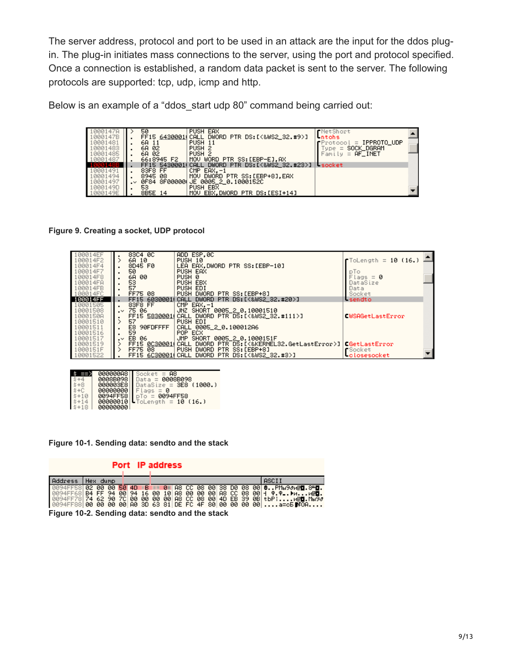The server address, protocol and port to be used in an attack are the input for the ddos plugin. The plug-in initiates mass connections to the server, using the port and protocol specified. Once a connection is established, a random data packet is sent to the server. The following protocols are supported: tcp, udp, icmp and http.

Below is an example of a "ddos start udp 80" command being carried out:

| 1000147A<br>1000147B |                 | 50<br>FF15 64300011 CALL | PUSH EAX<br>DWORD PTR DS: [<&WS2_32.#9>]            | <b>r</b> NetShort<br>-ntohs                                 |  |
|----------------------|-----------------|--------------------------|-----------------------------------------------------|-------------------------------------------------------------|--|
| 10001481<br>10001483 |                 | 6A 11<br>6A 02           | PUSH 11<br>PUSH <sub>2</sub>                        | $f$ Protocol = IPPROTO_UDP<br>SOCK_DGRAM<br>$\equiv$<br>upe |  |
| 10001485<br>10001487 |                 | 6A 02<br>66:8945 F2      | PUSH <sub>2</sub><br>WORD PTR SS:[EBP-E],AX<br>MOV. | $=$ AF_INET<br>Family                                       |  |
|                      |                 | FF15 54300011            | DWORD PTR DS: [<&WS2 32.#23>]<br><b>CALL</b>        | - socket                                                    |  |
| 10001491             |                 | 83F8 FF                  | $CMP$ EAX, $-1$                                     |                                                             |  |
| 10001494             |                 | 8945 08                  | DWORD PTR SS:[EBP+8].EAX<br>MOV.                    |                                                             |  |
| 10001497             | $\cdot$ $\cdot$ | 0F84 8F000001            | JE 0005_2_0.1000152C                                |                                                             |  |
| 1000149D             | $\bullet$       | 53                       | PUSH EBX                                            |                                                             |  |
| 1000149E             |                 | 8B5E 14                  | EBX DWORD PTR DS:[ESI+14]<br>MOV.                   |                                                             |  |

**Figure 9. Creating a socket, UDP protocol**

| 100014EF<br>100014F2 | 83C4 0C<br>6A 10        | ADD ESP.0C<br>PUSH 10                                                     | $\blacksquare$ ToLength = 10 (16.) ! |
|----------------------|-------------------------|---------------------------------------------------------------------------|--------------------------------------|
| 100014F4             | 8D45 F0                 | LEA EAX.DWORD PTR SS:[EBP-10]                                             |                                      |
| 100014F7             | 50                      | PUSH EAX                                                                  | pTo.                                 |
| 100014F8             | 6A 00                   | PUSH 0                                                                    | $Flags = 0$                          |
| 100014FA             |                         | PUSH EBX                                                                  | DataSize                             |
| 100014FB             | 53<br>57                | PUSH EDI                                                                  | Data                                 |
| 100014FC             | FF75 08                 | PUSH DWORD PTR SS: [EBP+8]                                                | Socket                               |
| 100014FF             | FF15 6030001            | DWORD PTR DS: [<&WS2_32.#20>]<br>CALL                                     | <b>Lisendto</b>                      |
| 10001505             | 83F8 FF                 | $CMP$ EAX, $-1$                                                           |                                      |
| 10001508             | $\sim$ 75 06            | JNZ SHORT 0005_2_0.10001510                                               |                                      |
| 1000150A             |                         | FF15 58300010 CALL DWORD PTR DS: [<&WS2_32.#111>]                         | CWSAGetLastError                     |
| 10001510             | 57                      | PUSH EDI                                                                  |                                      |
| 10001511             | E8 90FDFFFF             | CALL 0005_2_0.100012A6                                                    |                                      |
| 10001516             | 59                      | POP ECX                                                                   |                                      |
| 10001517             | EB 06<br>$\cdot^{\vee}$ | JMP SHORT 0005_2_0.1000151F                                               |                                      |
| 10001519             |                         | FF15 0C300010 CALL DWORD PTR DS: [<&KERNEL32.GetLastError>] CGetLastError |                                      |
| 1000151F             | FF75 08                 | DWORD PTR SS: [EBP+8]<br><b>PUSH</b>                                      | <b>r</b> Socket                      |
| 10001522             |                         | FF15 6C300010CALL DWORD PTR DS:[<&WS2_32.#3>]                             | <b>Lolosesocket</b>                  |

|          |                   | $00000008$ Socket = A8          |
|----------|-------------------|---------------------------------|
|          |                   | 0008B098   Data = 0008B098      |
|          |                   | 000003E8 DataSize = 3E8 (1000.) |
|          | 00000000          | Flags                           |
| $5 + 10$ | 0094FF58          | $D_{D} = 0094$ FF58             |
|          |                   | 00000010   ToLength = 10 (16.)  |
|          | <u> аааааааа </u> |                                 |

**Figure 10-1. Sending data: sendto and the stack**

|                                                 |          |  | Port IP address |  |  |  |  |  |                                                                                                                                                                                                                                                                                                                                            |
|-------------------------------------------------|----------|--|-----------------|--|--|--|--|--|--------------------------------------------------------------------------------------------------------------------------------------------------------------------------------------------------------------------------------------------------------------------------------------------------------------------------------------------|
| Address                                         | Hex dump |  |                 |  |  |  |  |  | <b>ASCII</b>                                                                                                                                                                                                                                                                                                                               |
| Figure 10-2. Sending data: sendto and the stack |          |  |                 |  |  |  |  |  | 094FF58  <b>02 00 00 50 4D B   0  A8 CC 08 00 38 D0 08 00 <b>0PMы9∂и∦∎.8<del>"</del>Д.</b></b><br>$\overline{0094}$ FF68 B4 FF 94 00 94 16 00 10 A8 00 00 00 A8 CC 08 00 4 $\overline{0}$ .<br> 0094FF78 74 62 90 7C 00 00 00 00 A8 CC 08 00 4D EB 39 0B tbP!µ∦∎.Mض}3<br> 0094FF88 00 00 00 00 A0 3D 63 81 DE FC 4F 80 00 00 00 00 a=cБ⊯CA |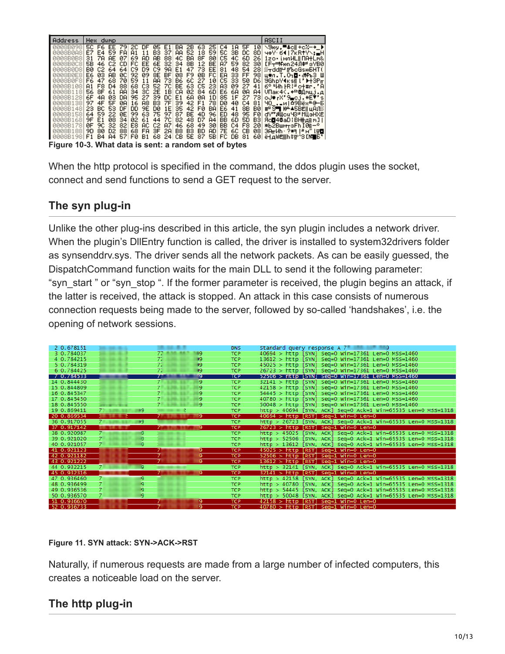| Address                                                                                                                                                               | Hex dump                                                                                                                                                                           |                                                                                                                                                   |                                                                                                      |                                                                                                                                      |                                                          |                                                |                                                                              | ASCII                                                                                                                                                                                                                                                                                                                            |
|-----------------------------------------------------------------------------------------------------------------------------------------------------------------------|------------------------------------------------------------------------------------------------------------------------------------------------------------------------------------|---------------------------------------------------------------------------------------------------------------------------------------------------|------------------------------------------------------------------------------------------------------|--------------------------------------------------------------------------------------------------------------------------------------|----------------------------------------------------------|------------------------------------------------|------------------------------------------------------------------------------|----------------------------------------------------------------------------------------------------------------------------------------------------------------------------------------------------------------------------------------------------------------------------------------------------------------------------------|
| A008B098<br><b>0008B0A8</b><br><b>AAASBABS</b><br><b>0008B0C8</b><br><b>0008B0D8</b><br><b>0008B0E8</b><br><b>0008B0F8</b><br>AGGSR108<br><b>0008B118</b><br>0008B128 | E7 E4 59 FA<br>31<br>78<br>AE.<br>5B<br>46<br>BØ.<br>C2 64 64<br>E6 03<br>AB.<br>68.<br>F6.<br>47<br>F8.<br>$\Box 4$<br>81<br>56 SF<br>61<br>6F.<br>4A<br>03.                      | A1<br>11<br>69<br>07<br>AD<br>C2 CDI<br>C9 D9<br>-09<br>-ØC I<br>92.<br>59.<br>-70<br>11<br>68.<br>C3<br>88<br>ΑA<br>34<br>30<br>27<br>DA.<br>95. | -37<br>B3.<br>AB.<br>-88<br>FC EE 6E 321<br>C9 98<br>SE BF<br>-731<br>AA.<br>2E<br>1B<br>-39.<br>DC. | AA 52 18 59 50 3B<br>4C BA<br>34 8B 12 BE AZ<br>E1<br>08.<br>B6 6C 27 10 C5 33 50 D6<br>52 7C BE 63 C5 23 A3<br>CA 02 84 6DIE6<br>E1 | 8F 80<br>47 73 EE 81<br>F9 0B FC EA<br>68 08 1D 85 1F 27 | C5 4C<br>59 82<br>48 54<br>-33.<br>-09-<br>-6A | DC.<br>8D I<br>6D<br>26<br>-301<br><b>FF 981</b><br>-27<br>-ØA<br>A41<br>-73 | 50 F6 EE 79 20 DF 05 E1 BA 2B 63 25 04 1A 5F 10 \9wy,"4d +cX-+_)<br>чфУ· 64   7кRtY\: "Н<br>1zo· інлИLII ПАНLm&<br>[F <del>т∃</del> Non24Л#=зУВ0<br>-28I <i>‱</i> ⊤ddrP rfbeGsioBHT (<br>щ⊕л.Т.О⊣⊠ <i>«</i> Мрь3 Ш<br>"9GhoY¶ksill" 1⊶3Pm<br>$41$ 6° Mh $IR$ is $CHur$ . $R$<br>VПак4<. <del>⊢</del> @Дмцј.д<br>oJ#rX'9 cj.#E7's |
| A008B138<br><b>0008B148</b><br><b>0008B1581</b><br>A008B168<br><b>0008B178</b><br>0008B1881                                                                           | - 5F<br>97<br>4F<br>53.<br>23.<br>-BC<br>64 59<br>-22.<br>9F E1<br>08.<br>ЙF<br>9C.<br>32<br>9D.<br>D <sub>2</sub><br>-80<br>Figure 10-3. What data is sent: a random set of bytes | 16 A8<br>- ØA<br>9E<br>DD.<br>DF<br>99 63<br>ØE.<br>02 61<br>-34<br>E8<br>82<br>яc<br>68 FA<br>-88                                                | B3<br>7F 39<br>1E<br>: DØ<br>-75<br>-97<br>44<br>7C<br>C2<br>87<br>3F<br>2A                          | 35 42 FØ BAIE6 41<br> 87 BE 4D 96 ED<br>82 48<br>D7<br>46<br>68<br><b>B8 B3</b>                                                      | 42 F1 78 D0 40 C4<br><b>A4</b><br>49<br>-30<br>BD AD     | BB 6D 5D<br>BB C4 F8                           | 81<br>8B<br>- BØ I<br>48 95 FØI<br>- B31<br>-201<br>7E 6C CB 081             | ЧО_.∍и∣∆9Вёх≞@–Б<br>#2 ST HALASBEILLADE<br>dY"Millou 48ª MillaHXËI<br>Яс <b>0</b> 40aD: ВННдпм31<br>*ыы2Вшм <del>т</del> зFh I0л−°<br>[3AmWh · ?#4 [관日]] [규칙]<br> 0008B198 F1 B4 A4 57 F0 B1 68 24 CB 5E 87 5B FC DB 81 60 ë⊣дwëﷺh\$π^3[M∎5°                                                                                     |

When the http protocol is specified in the command, the ddos plugin uses the socket, connect and send functions to send a GET request to the server.

# **The syn plug-in**

Unlike the other plug-ins described in this article, the syn plugin includes a network driver. When the plugin's DllEntry function is called, the driver is installed to system32drivers folder as synsenddrv.sys. The driver sends all the network packets. As can be easily guessed, the DispatchCommand function waits for the main DLL to send it the following parameter: "syn\_start " or "syn\_stop ". If the former parameter is received, the plugin begins an attack, if the latter is received, the attack is stopped. An attack in this case consists of numerous connection requests being made to the server, followed by so-called 'handshakes', i.e. the opening of network sessions.

| 2 0.678151  |      |                    | <b>DNS</b> | Standard query response A 7                                  |
|-------------|------|--------------------|------------|--------------------------------------------------------------|
| 3 0.784037  |      | 89                 | <b>TCP</b> | $40694$ > http [SYN] Seq=0 Win=17361 Len=0 MSS=1460          |
| 4 0.784215  |      | 71.<br>- 19        | <b>TCP</b> | $13612 > h$ ttp [SYN] Seq=0 Win=17361 Len=0 MSS=1460         |
| 5 0.784319  |      | 71<br>- 19         | <b>TCP</b> | $45025$ > http [SYN] Seq=0 Win=17361 Len=0 MSS=1460          |
| 6 0.784425  |      | 71<br>- 19         | <b>TCP</b> | 26723 > http [SYN] Seq=0 Win=17361 Len=0 MSS=1460            |
| 7 0.784533  |      | 19.                | <b>TCP</b> | $52506 > h$ ttp   SYN   Seq=0 Win=17361 Len=0 MSS=1460       |
| 14 0.844430 |      | 9                  | <b>TCP</b> | 32141 > http [SYN] Seq=0 Win=17361 Len=0 MSS=1460            |
| 15 0.844809 |      | 9.                 | <b>TCP</b> | $42158 >$ http [SYN] Seq=0 Win=17361 Len=0 MSS=1460          |
| 16 0.845347 |      | 9.                 | <b>TCP</b> | $54445 > h$ ttp [SYN] Seq=0 Win=17361 Len=0 MSS=1460         |
| 17 0.845450 |      | 9.                 | <b>TCP</b> | $40780 >$ http [SYN] Seq=0 Win=17361 Len=0 MSS=1460          |
| 18 0.845550 |      | 9.                 | TCP        | $50048 > h$ ttp [SYN] Seq=0 Win=17361 Len=0 MSS=1460         |
| 19 0.869411 | - 9  |                    | <b>TCP</b> | http > 40694 [SYN, ACK] Seq=0 Ack=1 Win=65535 Len=0 MSS=1318 |
| 20 0.869534 |      | $7^{\circ}$<br>Ι9. | <b>TCP</b> | $40694$ > http [RST] Seq=1 Win=0 Len=0                       |
| 36 0.917055 | - 19 |                    | <b>TCP</b> | http > 26723 [SYN, ACK] Seg=0 Ack=1 Win=65535 Len=0 MSS=1318 |
| 37 0.917142 |      |                    | <b>TCP</b> | 26723 > http [RST] Sea=1 Win=0 Len=0                         |
| 38 0.920987 | IQ.  |                    | <b>TCP</b> | http > 45025 [SYN, ACK] Seq=0 Ack=1 Win=65535 Len=0 MSS=1318 |
| 39 0.921020 | o    |                    | TCP        | http > 52506 [SYN, ACK] Seq=0 Ack=1 Win=65535 Len=0 MSS=1318 |
| 40 0.921057 | q    |                    | <b>TCP</b> | http > 13612 [SYN, ACK] Seq=0 Ack=1 Win=65535 Len=0 MSS=1318 |
| 41 0.921123 |      |                    | <b>TCP</b> | $45025 >$ http [RST] Seq=1 Win=0 Len=0                       |
| 42 0.921182 |      |                    | <b>TCP</b> | $52506$ > http [RST] Seq=1 Win=0 Len=0                       |
| 43 0.921222 |      |                    | <b>TCP</b> | $13612 > http [RST] Seq=1 Win=0 Len=0$                       |
| 44 0.932215 | IQ.  |                    | <b>TCP</b> | http > 32141 [SYN, ACK] Seq=0 Ack=1 Win=65535 Len=0 MSS=1318 |
| 45 0.932316 |      | p.                 | <b>TCP</b> | $32141 >$ http [RST] Seq=1 Win=0 Len=0                       |
| 47 0.936460 | ĸg.  |                    | <b>TCP</b> | http > 42158 [SYN, ACK] Seq=0 Ack=1 Win=65535 Len=0 MSS=1318 |
| 48 0.936499 | ۱q   |                    | <b>TCP</b> | http > 40780 [SYN, ACK] Seq=0 Ack=1 Win=65535 Len=0 MSS=1318 |
| 49 0.936536 | ۰q   |                    | <b>TCP</b> | http > 54445 [SYN, ACK] Seq=0 Ack=1 Win=65535 Len=0 MSS=1318 |
| 50 0.936570 | IQ.  |                    | <b>TCP</b> | http > 50048 [SYN, ACK] Seq=0 Ack=1 Win=65535 Len=0 MSS=1318 |
| 51 0.936670 |      | ۹                  | <b>TCP</b> | $42158 > h$ ttp [RST] Seq=1 Win=0 Len=0                      |
| 52.0.036733 |      | n                  | <b>TCD</b> | $10780 \times h$ ttn [DST] Seg-1 Win-0 Len-0                 |

### **Figure 11. SYN attack: SYN->ACK->RST**

Naturally, if numerous requests are made from a large number of infected computers, this creates a noticeable load on the server.

# **The http plug-in**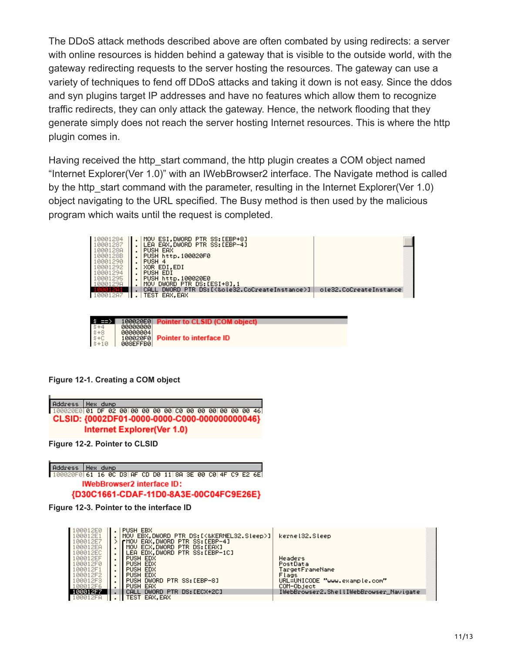The DDoS attack methods described above are often combated by using redirects: a server with online resources is hidden behind a gateway that is visible to the outside world, with the gateway redirecting requests to the server hosting the resources. The gateway can use a variety of techniques to fend off DDoS attacks and taking it down is not easy. Since the ddos and syn plugins target IP addresses and have no features which allow them to recognize traffic redirects, they can only attack the gateway. Hence, the network flooding that they generate simply does not reach the server hosting Internet resources. This is where the http plugin comes in.

Having received the http start command, the http plugin creates a COM object named "Internet Explorer(Ver 1.0)" with an IWebBrowser2 interface. The Navigate method is called by the http start command with the parameter, resulting in the Internet Explorer(Ver 1.0) object navigating to the URL specified. The Busy method is then used by the malicious program which waits until the request is completed.

| 10001284<br>10001287<br>1000128A<br>1000128B<br>10001290<br>10001292<br>10001294<br>10001295<br>10001298 | MOV ESI, DWORD PTR SS:[EBP+8]<br>LEA EAX, DWORD PTR SS: [EBP-4]<br>PUSH EAX<br>PUSH http.100020F0<br>PUSH 4<br>XOR EDI.EDI<br>PUSH EDI<br>PUSH http.100020E0<br>MOV DWORD PTR DS: [ESI+8],1 |                        |  |
|----------------------------------------------------------------------------------------------------------|---------------------------------------------------------------------------------------------------------------------------------------------------------------------------------------------|------------------------|--|
|                                                                                                          | DWORD PTR DS:[<&ole32.CoCreateInstance>] <br>CALL                                                                                                                                           | ole32.CoCreateInstance |  |
| 10001287                                                                                                 | TEST EAX.EAX                                                                                                                                                                                |                        |  |
|                                                                                                          |                                                                                                                                                                                             |                        |  |

| $5 + 4$<br>$5 + 6$<br>$5 + 10$<br>$5 + 10$ |           | 100020E0 Pointer to CLSID (COM object) |
|--------------------------------------------|-----------|----------------------------------------|
|                                            | 00000000  |                                        |
|                                            | 00000004  |                                        |
|                                            |           | 100020F0 Pointer to interface ID       |
|                                            | 008EFFB01 |                                        |

**Figure 12-1. Creating a COM object**



**Figure 12-2. Pointer to CLSID**



| 100012E0<br>100012E1<br>100012E7 | <b>PUSH EBX</b><br>MOV EBX.DWORD PTR DS: [<&KERNEL32.Sleep>] <br>∣rMOV EAX.DWORD PTR SS∶[EBP−4] | kernel32.Sleep                         |
|----------------------------------|-------------------------------------------------------------------------------------------------|----------------------------------------|
| 100012EA                         | MOV ECX.DWORD PTR DS:[EAX]                                                                      |                                        |
| 100012EC                         | LEA EDX.DWORD PTR SS:[EBP-1C]<br>$\blacksquare$                                                 |                                        |
| 100012EF                         | PUSH EDX<br>$\blacksquare$                                                                      | Headers                                |
| 100012F0                         | PUSH EDX<br>$\mathbf{r}$                                                                        | PostData                               |
| 100012F1                         | PUSH EDX                                                                                        | TargetFrameName                        |
| 100012F2                         | PUSH EDX<br>$\mathbf{r}$                                                                        | Flags                                  |
| A0012F3                          | DWORD PTR SS:[EBP-8]<br><b>PUSH</b><br>$\mathbf{r}$                                             | URL=UNICODE "www.example.com"          |
| 100012F6                         | PUSH EAX<br>$\cdot$                                                                             | COM-Object                             |
| 100012F7                         | DWORD PTR DS:[ECX+2C]<br>CALL                                                                   | IWebBrowser2.ShellIWebBrowser_Navigate |
| 100012FA                         | <b>TEST</b><br>EAX.EAX                                                                          |                                        |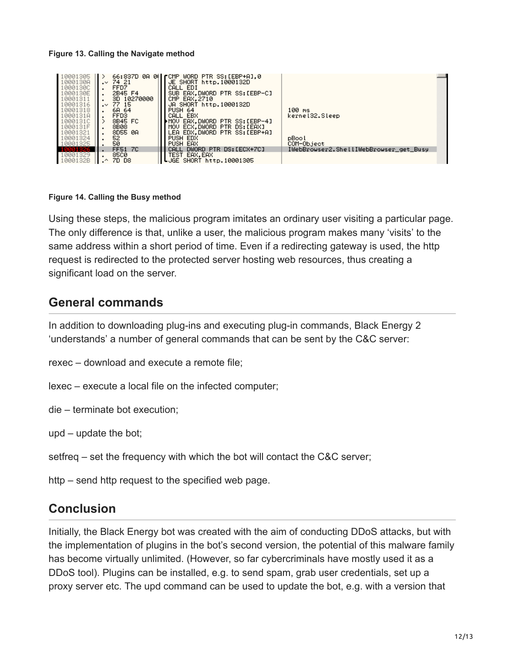### **Figure 13. Calling the Navigate method**



### **Figure 14. Calling the Busy method**

Using these steps, the malicious program imitates an ordinary user visiting a particular page. The only difference is that, unlike a user, the malicious program makes many 'visits' to the same address within a short period of time. Even if a redirecting gateway is used, the http request is redirected to the protected server hosting web resources, thus creating a significant load on the server.

## **General commands**

In addition to downloading plug-ins and executing plug-in commands, Black Energy 2 'understands' a number of general commands that can be sent by the C&C server:

rexec – download and execute a remote file;

- lexec execute a local file on the infected computer;
- die terminate bot execution;
- upd update the bot;
- setfreq set the frequency with which the bot will contact the C&C server;
- http send http request to the specified web page.

## **Conclusion**

Initially, the Black Energy bot was created with the aim of conducting DDoS attacks, but with the implementation of plugins in the bot's second version, the potential of this malware family has become virtually unlimited. (However, so far cybercriminals have mostly used it as a DDoS tool). Plugins can be installed, e.g. to send spam, grab user credentials, set up a proxy server etc. The upd command can be used to update the bot, e.g. with a version that